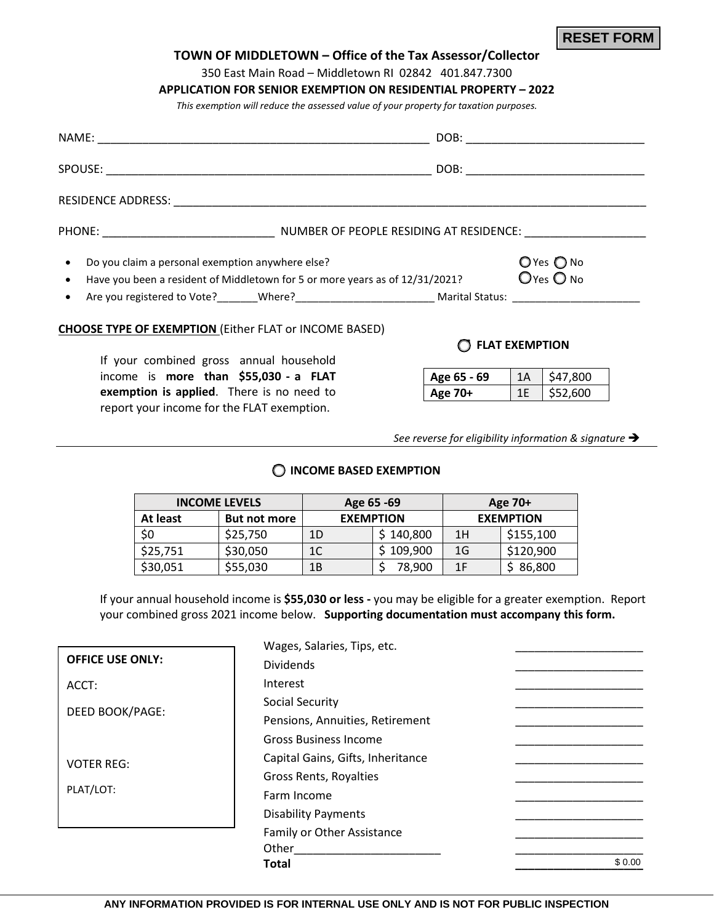| TOWN OF MIDDLETOWN - Office of the Tax Assessor/Collector                                 |                                                       |                       |                |  |
|-------------------------------------------------------------------------------------------|-------------------------------------------------------|-----------------------|----------------|--|
|                                                                                           | 350 East Main Road - Middletown RI 02842 401.847.7300 |                       |                |  |
| <b>APPLICATION FOR SENIOR EXEMPTION ON RESIDENTIAL PROPERTY - 2022</b>                    |                                                       |                       |                |  |
| This exemption will reduce the assessed value of your property for taxation purposes.     |                                                       |                       |                |  |
|                                                                                           |                                                       |                       |                |  |
|                                                                                           |                                                       |                       |                |  |
|                                                                                           |                                                       |                       |                |  |
|                                                                                           |                                                       |                       |                |  |
| • Do you claim a personal exemption anywhere else?                                        |                                                       |                       | $O$ Yes $O$ No |  |
| Have you been a resident of Middletown for 5 or more years as of 12/31/2021?<br>$\bullet$ |                                                       |                       | $O$ Yes $O$ No |  |
|                                                                                           |                                                       |                       |                |  |
| <b>CHOOSE TYPE OF EXEMPTION (Either FLAT or INCOME BASED)</b>                             |                                                       |                       |                |  |
|                                                                                           |                                                       | <b>FLAT EXEMPTION</b> |                |  |
| If your combined gross annual household                                                   |                                                       |                       |                |  |
| income is more than \$55,030 - a FLAT                                                     | Age 65 - 69                                           | 1A                    | \$47,800       |  |
| exemption is applied. There is no need to                                                 | Age 70+ $1E$ \$52,600                                 |                       |                |  |

*See reverse for eligibility information & signature* 

**RESET FORM**

# **INCOME BASED EXEMPTION**

report your income for the FLAT exemption.

|          | <b>INCOME LEVELS</b> | Age 65 -69       |            | Age 70+          |           |
|----------|----------------------|------------------|------------|------------------|-----------|
| At least | <b>But not more</b>  | <b>EXEMPTION</b> |            | <b>EXEMPTION</b> |           |
| \$0      | \$25,750             | 1D               | \$140,800  | 1H               | \$155,100 |
| \$25,751 | \$30,050             | 1C               | \$ 109,900 | 1G               | \$120,900 |
| \$30,051 | \$55,030             | 1Β               | 78,900     | 1 F              | 86,800    |

If your annual household income is **\$55,030 or less -** you may be eligible for a greater exemption. Report your combined gross 2021 income below. **Supporting documentation must accompany this form.**

|                         | Wages, Salaries, Tips, etc.       |        |
|-------------------------|-----------------------------------|--------|
| <b>OFFICE USE ONLY:</b> | <b>Dividends</b>                  |        |
| ACCT:                   | Interest                          |        |
|                         | Social Security                   |        |
| DEED BOOK/PAGE:         | Pensions, Annuities, Retirement   |        |
|                         | <b>Gross Business Income</b>      |        |
| <b>VOTER REG:</b>       | Capital Gains, Gifts, Inheritance |        |
|                         | Gross Rents, Royalties            |        |
| PLAT/LOT:               | Farm Income                       |        |
|                         | <b>Disability Payments</b>        |        |
|                         | Family or Other Assistance        |        |
|                         | Other                             |        |
|                         | <b>Total</b>                      | \$0.00 |